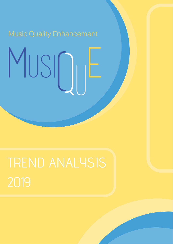MUSICIE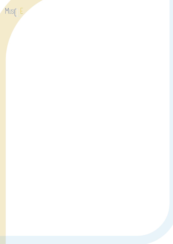$MUSIQ<sub>U</sub>E$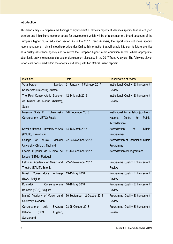

## **Introduction**

This trend analysis compares the findings of eight MusiQuE reviews reports. It identifies specific features of good practice and it highlights common areas for development which will be of relevance to a broad spectrum of the European higher music education sector. As in the 2017 Trend Analysis, the report does not make specific recommendations. It aims instead to provide MusiQuE with information that will enable it to plan its future priorities as a quality assurance agency and to inform the European higher music education sector. Where appropriate, attention is drawn to trends and areas for development discussed in the 2017 Trend Analysis. The following eleven reports are considered within the analysis and along with two Critical Friend reports:

| Institution                        | <b>Date</b>                   | <b>Classification of review</b>                   |
|------------------------------------|-------------------------------|---------------------------------------------------|
| Vorarlberger<br>Landes             | 31 January - 1 February 2017  | Institutional Quality Enhancement                 |
| Konservatorium (VLK), Austria      |                               | <b>Review</b>                                     |
| The Real Conservatorio Superior    | 12-14 March 2018              | Institutional Quality Enhancement                 |
| de Música de Madrid (RSMM),        |                               | <b>Review</b>                                     |
| Spain                              |                               |                                                   |
| Moscow State P.I. Tchaikovsky      | 4-6 December 2018             | Institutional Accreditation (joint with           |
| Conservatory (MSTC), Russia        |                               | <b>National</b><br>Centre<br><b>Public</b><br>for |
|                                    |                               | Accreditation)                                    |
| Kazakh National University of Arts | 14-16 March 2017              | Accreditation<br>of<br><b>Music</b>               |
| (KNUA), Kazakhstan                 |                               | Programmes                                        |
| Mahidol<br>of<br>Music,<br>College | 22-24 November 2018           | Accreditation of Bachelor of Music                |
| University (CMMU), Thailand        |                               | Programme                                         |
| Escola Superior de Música de       | 11-13 December 2017           | <b>Accreditation of Programmes</b>                |
| Lisboa (ESML), Portugal            |                               |                                                   |
| Estonian Academy of Music and      | 22-23 November 2017           | Programme Quality Enhancement                     |
| Theatre (EAMT), Estonia            |                               | <b>Review</b>                                     |
| Royal<br>Conservatoire<br>Antwerp  | 13-15 May 2018                | Programme Quality Enhancement                     |
| (RCA), Belgium                     |                               | <b>Review</b>                                     |
| Koninklijk<br>Conservatorium       | 16-18 May 2018                | Programme Quality Enhancement                     |
| Brussels (KCB), Belgium            |                               | <b>Review</b>                                     |
| Malmö Academy of Music, Lund       | 30 September - 2 October 2018 | Programme Quality Enhancement                     |
| University, Sweden                 |                               | <b>Review</b>                                     |
| Conservatorio<br>della<br>Svizzera | 23-25 October 2018            | Programme Quality Enhancement                     |
| (CdSI),<br>Italiana<br>Lugano,     |                               | <b>Review</b>                                     |
| Switzerland                        |                               |                                                   |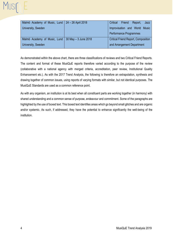| Malmö Academy of Music, Lund   24 - 26 April 2018   | Critical<br>Friend<br>Report,<br>Jazz      |
|-----------------------------------------------------|--------------------------------------------|
| University, Sweden                                  | Improvisation and World Music              |
|                                                     | Performance Programmes                     |
| Malmö Academy of Music, Lund   30 May - 3 June 2018 | <b>Critical Friend Report, Composition</b> |
| University, Sweden                                  | and Arrangement Department                 |

As demonstrated within the above chart, there are three classifications of reviews and two Critical Friend Reports. The content and format of these MusiQuE reports therefore varied according to the purpose of the review (collaborative with a national agency with merged criteria, accreditation, peer review, Institutional Quality Enhancement etc.). As with the 2017 Trend Analysis, the following is therefore an extrapolation, synthesis and drawing together of common issues, using reports of varying formats with similar, but not identical purposes. The MusiQuE Standards are used as a common reference point.

As with any organism, an institution is at its best when all constituent parts are working together (in harmony) with shared understanding and a common sense of purpose, endeavour and commitment. Some of the paragraphs are highlighted by the use of boxed text. This boxed text identifies areas which go beyond small glitches and are organic and/or systemic. As such, if addressed, they have the potential to enhance significantly the well-being of the institution.

MUSIO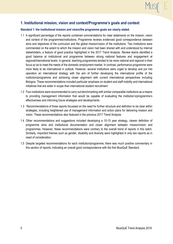## **1. Institutional mission, vision and context/Programme's goals and context**

## **Standard 1: the institutional mission and vision/the programme goals are clearly stated.**

- 1.1 A significant percentage of the reports contained commendations for clear statements on the mission, vision and context of the programmes/institutions. Programme reviews evidenced good correspondence between aims and objectives of the curriculum and the global mission/vision of the institutions. Two institutions were commended on the extent to which the mission and vision had been shared with and understood by internal stakeholders, a feature of good practice highlighted in the 2017 Trend Analysis. Review teams identified a good balance at institutional and programme between strong national features and engagement at regional/international levels. In general, teaching programmes tended to be more national and regional in their focus so as to meet the needs of the domestic employment market. In contrast, performance programme were more likely to be international in outlook. However, several institutions were urged to develop and put into operation an international strategy with the aim of further developing the international profile of the institution/programme and achieving closer alignment with current international perspectives including Bologna. These recommendations included particular emphasis on student and staff mobility and international initiatives that are wider in scope than international student recruitment
- 1.2 Four institutions were recommended to carry out benchmarking with similar comparable institutions as a means to providing management information that would be capable of evaluating the institution's/programme's effectiveness and informing future strategies and developments.
- 1.3 Recommendations of three reports focussed on the need for further structure and definition to be clear within strategies, including heightened use of management information and action plans for delivering mission and vision. These recommendations also featured in the previous 2017 Trend Analysis.
- 1.4 Other recommendations and suggestions included developing a 10-15 year strategy, clearer definition of programme aims and institutional documentation and closer alignment between mission/vision and programmes. However, these recommendations were contrary to the overall trend of reports in this batch. Similarly, important themes such as gender, disability and diversity were highlighted in only two reports as in need of consideration.
- 1.5 Despite targeted recommendations for each institution/programme, there was much positive commentary in this section of reports, indicating an overall good correspondence with the first MusiQuE Standard.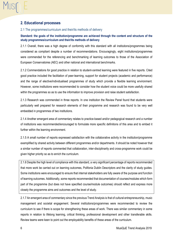

## **2. Educational processes**

## 2.1 The programmes/curriculum and their/its methods of delivery

## **Standard: the goals of the institution/programme are achieved through the content and structure of the study programmes/curriculum and their/its methods of delivery**

2.1.1 Overall, there was a high degree of conformity with this standard with all institutions/programmes being considered as compliant despite a number of recommendations. Encouragingly, eight institutions/programmes were commended for the referencing and benchmarking of learning outcomes to those of the Association of European Conservatoires (AEC) and other national and international benchmarks.

2.1.2 Commendations for good practice in relation to student-centred learning were featured in five reports. Cited good practice included the facilitation of peer-learning, support for student projects (academic and performance) and the range of elective/individualised programmes of study which provide a flexible learning environment. However, some institutions were recommended to consider how the student voice could be more usefully shared within the programmes so as to use the information to improve provision and raise student satisfaction.

2.1.3 Research was commended in three reports. In one institution the Review Panel found that students were particularly well prepared for research elements of their programme and research was found to be very well embedded in programmes of two institutions.

2.1.4 Another emergent area of commentary relates to practice-based and/or pedagogical research and a number of institutions was recommended/encouraged to formulate more specific definitions of this area and to embed it further within the learning environment.

2.1.5 A small number of reports expressed satisfaction with the collaborative activity in the institution/programme exemplified by shared activity between different programmes and/or departments. It should be noted however that a similar number of reports commented that collaboration, inter-disciplinarity and cross-programme work could be given higher priority so as to enrich the curriculum.

2.1.6 Despite the high level of compliance with this standard, a very significant percentage of reports recommended that more work be carried out on learning outcomes, Polifonia Dublin Descriptors and the clarity of study guides. Some institutions were encouraged to ensure that internal stakeholders are fully aware of the purpose and function of learning outcomes. Additionally, some reports recommended that documentation of courses/modules which form part of the programme (but does not have specified course/module outcomes) should reflect and express more closely the programme aims and outcomes and the level of study.

2.1.7 An emergent area of commentary since the previous Trend Analysis is that of cultural entrepreneurship, music management and societal engagement. Several institutions/programmes were recommended to review the curriculum to see if there is scope for strengthening these areas of work. There was similar commentary in some reports in relation to lifelong learning, critical thinking, professional development and other transferable skills. Review teams were keen to point out the employability benefits of these areas of the curriculum.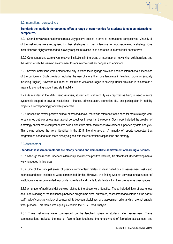

## 2.2 International perspectives

## **Standard: the institution/programme offers a range of opportunities for students to gain an international perspective.**

2.2.1 Overall review reports demonstrate a very positive outlook in terms of international perspectives. Virtually all of the institutions were recognised for their strategies or, their intentions to improve/develop a strategy. One institution was highly commended in every respect in relation to its approach to international perspectives.

2.2.2 Commendations were given to seven institutions in the areas of international networking, collaborations and the way in which the learning environment fosters international exchanges and ambitions.

2.2.3 Several institutions were noted for the way in which the language provision enabled international dimensions of the curriculum. Such provision includes the use of more than one language in teaching provision (usually including English). However, a number of institutions was encouraged to develop further provision in this area as a means to promoting student and staff mobility.

2.2.4 As manifest in the 2017 Trend Analysis, student and staff mobility was reported as being in need of more systematic support in several institutions – finance, administration, promotion etc., and participation in mobility projects is correspondingly adversely affected.

2.2.5 Despite the overall positive outlook expressed above, there was reference to the need for more strategic work to be carried out to promote international perspectives in over half the reports. Such work included the creation of a strategy and/or more comprehensive action plans with attributed responsible officers supported by data analysis. This theme echoes the trend identified in the 2017 Trend Analysis. A minority of reports suggested that programmes needed to be more closely aligned with the international aspirations and strategy.

## 2.3 Assessment

## **Standard: assessment methods are clearly defined and demonstrate achievement of learning outcomes.**

2.3.1 Although the reports under consideration pinpoint some positive features, it is clear that further developmental work is needed in this area.

2.3.2 One of the principal areas of positive commentary relates to clear definitions of assessment tasks and methods and most institutions were commended for this. However, this finding was not universal and a number of institutions was recommended to provide more detail and clarity to students within their programme descriptions.

2.3.3 A number of additional deficiencies relating to the above were identified. These included, lack of awareness and understanding of the relationship between programme aims, outcomes, assessment and criteria on the part of staff, lack of consistency, lack of comparability between disciplines, and assessment criteria which are not entirely fit for purpose. This theme was equally evident in the 2017 Trend Analysis.

2.3.4 Three institutions were commended on the feedback given to students after assessment. These commendations included the use of face-to-face feedback, the employment of formative assessment and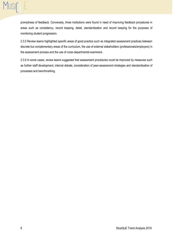

promptness of feedback. Conversely, three institutions were found in need of improving feedback procedures in areas such as consistency, record keeping, detail, standardisation and record keeping for the purposes of monitoring student progression.

2.3.5 Review teams highlighted specific areas of good practice such as integrated assessment practices between discrete but complementary areas of the curriculum, the use of external stakeholders (professionals/employers) in the assessment process and the use of cross-departmental examiners.

2.3.6 In some cases, review teams suggested that assessment procedures could be improved by measures such as further staff development, internal debate, consideration of peer-assessment strategies and standardisation of processes and benchmarking.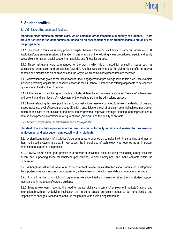

# **3. Student profiles**

## 3.1 Admission/Entrance qualifications

**Standard: clear admission criteria exist, which establish artistic/academic suitability of students. / There are clear criteria for student admission, based on an assessment of their artistic/academic suitability for the programme.**

3.1.1 The trend in this area is very positive despite the need for some institutions to carry out further work. All institutions/programmes received affirmation in one or more of the following: clear procedures; explicit and easily accessible information; useful supporting materials; and fitness for purpose.

3.1.2 Three institutions were commended for the way in which data is used for evaluating issues such as admissions, progression and completion (awards). Another was commended for giving high profile to internal debates and discussions on admissions and the way in which admissions procedures are reviewed.

3.1.3 Affirmation was given to four institutions for their engagement at pre-college level in this area. One example included permitting applicants to observe lessons in the HE school. Another was offering applicants to be coached by members of staff in the HE school.

3.1.4 Other areas of identified good practice includes differentiating between candidates' "real-time" achievement and potential and high levels of involvement of the teaching staff in the admissions process.

3.1.5 Notwithstanding this very positive trend, four institutions were encouraged to review standards, policies and issues including: level of spoken language (English); unsatisfactory level of applicant potential/achievement; better match of applicant to the mission of the institution/programme; improved strategic planning; and improved use of data so as to provide information relating to attrition (drop-out) and the quality of entrants.

## 3.2 Student progression, achievement and employability

## **Standard: the institution/programme has mechanisms to formally monitor and review the progression, achievement and subsequent employability of its students.**

3.2.1 A significant majority of institutions/programmes were deemed as compliant with this standard and most of them had good systems in place. In two cases, the integral use of technology was reported as an important enhancement feature of the process.

3.2.2 Review teams noted good practice in a number of individual cases including maintaining strong links with alumni and supporting these stakeholders (post-studies) to find employment and make contacts within the profession.

3.2.3 Although all institutions were found to be compliant, review teams identified various areas for development. An important area was focussed on progression, achievement and employment data and operational systems.

3.2.4 A small number of institutions/programmes were identified as in need of strengthening student support mechanisms in the areas of careers guidance.

3.2.5 Some review teams reported the need for greater vigilance in terms of employment markets (national and international) with an underlying implication that in some cases, curriculum needs to be more flexible and responsive to changes (real and potential) in the job market to avoid being left behind.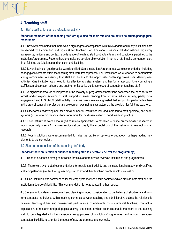

# **4. Teaching staff**

## 4.1 Staff qualifications and professional activity

## **Standard: members of the teaching staff are qualified for their role and are active as artists/pedagogues/ researchers.**

4.1.1 Review teams noted that there was a high degree of compliance with this standard and many institutions are well-served by a committed and highly skilled teaching staff. For various reasons including national regulatory frameworks, heritage and context, a wide range of teaching staff contractual terms and conditions pertained to the institutions/programme. Reports therefore indicated considerable variation in terms of staff make-up (gender, parttime, full-time etc.), balance and employment flexibility.

4.1.2 Several points of good practice were identified. Some institutions/programmes were commended for including pedagogical elements within the teaching staff recruitment process. Four institutions were reported to demonstrate strong commitment to ensuring that staff had access to the appropriate continuing professional development activities. One institution was noted for its effective appraisal system, another for its approach to encouraging a staff lesson observation scheme and another for its policy guidance (code of conduct) for teaching staff.

4.1.3 A significant area for development in the majority of programmes/institutions concerned the need for more formal and/or explicit systems of staff support in areas ranging from external artistic activity, pedagogical engagement and ERASMUS (staff mobility). In some cases, review suggested that support for part-time teachers in the area of continuing professional development was not as satisfactory as the provision for full-time teachers.

4.1.4 Other areas of development for a small number of institutions included more formal staff appraisal, and better systems (forums) within the institution/programme for the dissemination of good teaching practice.

4.1.5 Four institutions were encouraged to review approaches to research – define practice-based research in music more fully (see 2.1.4 above) and/or set out clearly the expectations of the institution in respect of staff research.

4.1.6 Four institutions were recommended to raise the profile of up-to-date pedagogy, perhaps adding new elements to the curriculum.

## 4.2 Size and composition of the teaching staff body

## **Standard: there are sufficient qualified teaching staff to effectively deliver the programme(s).**

4.2.1 Reports evidenced strong compliance for this standard across reviewed institutions and programmes.

4.2.3. There were two related commendations for recruitment flexibility and an institutional strategy for diversifying staff competencies (i.e. facilitating teaching staff to extend their teaching practices into new realms).

4.3.4 One institution was commended for the employment of short-term contracts which provide both staff and the institution a degree of flexibility. (This commendation is not repeated in other reports.)

4.3.5 Areas for long-term development and planning included: consideration to the balance of short-term and longterm contracts; the balance within teaching contracts between teaching and administrative duties; the relationship between teaching duties and professional performance commitments for instrumental teachers; contractual expectations of research and pedagogical activity; the extent to which contracts enable members of the teaching staff to be integrated into the decision making process of institutions/programmes; and ensuring sufficient contractual flexibility to cater for the needs of new programmes and curricula.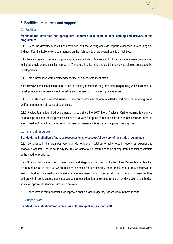## **5. Facilities, resources and support**

## 5.1 Facilities

## **Standard: the institution has appropriate resources to support student learning and delivery of the programmes.**

5.1.1 Given the diversity of institutions reviewed and the varying contexts, reports evidenced a wide-range of findings. Four institutions were commended on the high quality of the overall quality of facilities.

5.1.2 Review teams considered supporting facilities including libraries and IT. Five institutions were commended for library provision and a similar number of IT where online learning and digital lending were singled out as positive developments.

5.1.3 Three institutions were commended for the quality of instrument stock.

5.1.4 Review teams identified a range of issues relating to medium/long term strategic planning which included the development of instrumental stock; logistics and the need to formulate digital strategies.

5.1.5 Other short/medium terms issues include practice/rehearsal room availability and restricted opening hours and/or management of rooms at peak times.

5.1.6 Review teams identified two emergent areas since the 2017 Trend Analysis. Online learning is clearly a burgeoning area and developments continue at a very fast pace. Student health is another important area as exemplified and underlined by recent controversy on issues such as orchestral player hearing loss.

## 5.2 Financial resources

#### **Standard: the institution's financial resources enable successful delivery of the study programme(s).**

5.2.1 Compliance in this area was very high with only one institution formally noted in reports as experiencing financial pressures. That is not to say that review teams found institutions to be exempt from financial constraints or the need for prudence.

5.2.2 Six institutions were urged to carry out more strategic financial planning for the future. Review teams identified a range of issues in this area which included: planning for sustainability; better measures to protect/improve the teaching budget; improved financial risk management (new funding sources etc.); and planning for new facilities and growth. In some cases, teams suggested that consideration be given to re-allocation/devolution of the budget so as to improve efficiency of curriculum delivery.

5.2.3 There were recommendations for improved financial and budgetary transparency in three reports.

## 5.3 Support staff

**Standard: the institution/programme has sufficient qualified support staff.**

 $MUSI<sub>11</sub>$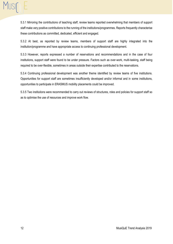

5.3.1 Mirroring the contributions of teaching staff, review teams reported overwhelming that members of support staff make very positive contributions to the running of the institutions/programmes. Reports frequently characterise these contributions as committed, dedicated, efficient and engaged.

5.3.2 At best, as reported by review teams, members of support staff are highly integrated into the institution/programme and have appropriate access to continuing professional development.

5.3.3 However, reports expressed a number of reservations and recommendations and in the case of four institutions, support staff were found to be under pressure. Factors such as over-work, multi-tasking, staff being required to be over-flexible, sometimes in areas outside their expertise contributed to the reservations.

5.3.4 Continuing professional development was another theme identified by review teams of five institutions. Opportunities for support staff are sometimes insufficiently developed and/or informal and in some institutions, opportunities to participate in ERASMUS mobility placements could be improved.

5.3.5 Two institutions were recommended to carry out reviews of structures, roles and policies for support staff so as to optimise the use of resources and improve work flow.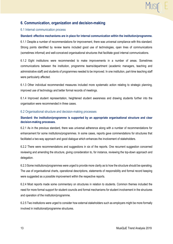## **6. Communication, organization and decision-making**

## 6.1 Internal communication process

## **Standard: effective mechanisms are in place for internal communication within the institution/programme.**

6.1.1 Despite a number of recommendations for improvement, there was universal compliance with this standard. Strong points identified by review teams included good use of technologies, open lines of communications (sometimes informal) and well-conceived organisational structures that facilitate good internal communications.

6.1.2 Eight institutions were recommended to make improvements in a number of areas. Sometimes communications between the institution, programme teams/department (academic managers, teaching and administrative staff) and students of programmes needed to be improved. In one institution, part-time teaching staff were particularly affected.

6.1.3 Other individual recommended measures included more systematic action relating to strategic planning, improved use of technology and better formal records of meetings.

6.1.4 Improved student representation, heightened student awareness and drawing students further into the organisation were recommended in three cases.

## 6.2 Organisational structure and decision-making processes

## **Standard: the institution/programme is supported by an appropriate organisational structure and clear decision-making processes.**

6.2.1 As in the previous standard, there was universal adherence along with a number of recommendations for enhancement for some institutions/programmes. In some cases, reports gave commendations for structures that facilitated a two-way approach and good dialogue which enhances the involvement of stakeholders.

6.2.2 There were recommendations and suggestions in six of the reports. One recurrent suggestion concerned reviewing and amending the structure, giving consideration to, for instance, reviewing the top-down approach and delegation.

6.2.3 Some institutions/programmes were urged to provide more clarity as to how the structure should be operating. The use of organisational charts, operational descriptions, statements of responsibility and formal record keeping were suggested as a possible improvement within the respective reports.

6.2.4 Most reports made some commentary on structures in relation to students. Common themes included the need for more formal support for student councils and formal mechanisms for student involvement in the structures and operation of the institution/programme.

6.2.5 Two institutions were urged to consider how external stakeholders such as employers might be more formally involved in institutional/programme structures.

 $MUSI<sub>11</sub>$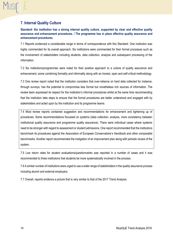

# **7. Internal Quality Culture**

**Standard: the institution has a strong internal quality culture, supported by clear and effective quality assurance and enhancement procedures. / The programme has in place effective quality assurance and enhancement procedures.**

7.1 Reports evidenced a considerable range in terms of correspondence with this Standard. One institution was highly commended for its overall approach. Six institutions were commended for their formal processes such as the involvement of stakeholders including students, data collection, analysis and subsequent processing of the information.

7.2 Six institutions/programmes were noted for their positive approach to a culture of quality assurance and enhancement, some combining formality and informality along with an honest, open and self-critical methodology.

7.3 One review report noted that the institution considers that over-reliance on hard data collected for instance, through surveys, has the potential to compromise less formal but nonetheless rich sources of information. The review team expressed its respect for the institution's informal procedures whilst at the same time recommending that the institution take steps to ensure that the formal procedures are better understood and engaged with by stakeholders and acted upon by the institution and its programme teams.

7.4 Most review reports contained suggestion and recommendations for enhancement and tightening up of procedures. Some recommendations focussed on systems (data collection, analysis, more consistency between institutional quality assurance and programme quality assurance). There were individual cases where systems need to be stronger with regard to assessment or student admissions. One report recommended that the institutions benchmark its procedures against the Association of European Conservatoire's Handbook and other comparable benchmarks. Another report recommended the instigation of an improvement plan along with periodic review of the system.

7.5 Low return rates for student evaluations/questionnaires was reported in a number of cases and it was recommended to three institutions that students be more systematically involved in the process.

7.6 A similar number of institutions were urged to use a wider range of stakeholders in the quality assurance process including alumni and external employers.

7.7 Overall, reports evidence a picture that is very similar to that of the 2017 Trend Analysis.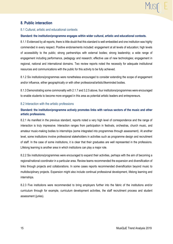# **8. Public interaction**

#### 8.1 Cultural, artistic and educational contexts

### **Standard: the institution/programme engages within wider cultural, artistic and educational contexts.**

8.1.1 Evidenced by all reports, there is little doubt that this standard is well embedded and one institution was highly commended in every respect. Positive endorsements included: engagement at all levels of education; high levels of accessibility to the public; strong partnerships with external bodies; strong leadership; a wide range of engagement including performance, pedagogy and research; effective use of new technologies; engagement in regional, national and international domains. Two review reports noted the necessity for adequate institutional resources and communications with the public for this activity to be fully achieved.

8.1.2 Six institutions/programmes were nonetheless encouraged to consider extending the scope of engagement and/or influence, either geographically or with other professional/artistic/likeminded bodies.

8.1.3 Demonstrating some commonality with 2.1.7 and 3.2.5 above, four institutions/programmes were encouraged to enable students to become more engaged in this area as potential artistic leaders and entrepreneurs.

## 8.2 Interaction with the artistic professions

## **Standard: the institution/programme actively promotes links with various sectors of the music and other artistic professions.**

8.2.1 As manifest in the previous standard, reports noted a very high level of correspondence and the range of interaction is truly impressive. Interaction ranges from participation in festivals, orchestras, church music, and amateur music-making bodies to internships (some integrated into programmes through assessment). At another level, some institutions involve professional stakeholders in activities such as programme design and recruitment of staff. In the case of some institutions, it is clear that their graduates are well represented in the professions. Lifelong learning is another area in which institutions can play a major role.

8.2.2 Six institutions/programmes were encouraged to expand their activities, perhaps with the aim of becoming a regional/national coordinator in a particular area. Review teams recommended the expansion and diversification of links through projects and collaborations. In some cases reports recommended diversification beyond music to multidisciplinary projects. Expansion might also include continual professional development, lifelong learning and internships.

8.2.3 Five institutions were recommended to bring employers further into the fabric of the institutions and/or curriculum through for example, curriculum development activities, the staff recruitment process and student assessment (juries).

MUSINI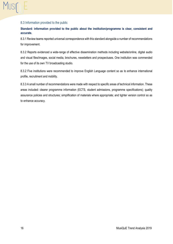

## 8.3 Information provided to the public

**Standard: information provided to the public about the institution/programme is clear, consistent and accurate.** 

8.3.1 Review teams reported universal correspondence with this standard alongside a number of recommendations for improvement.

8.3.2 Reports evidenced a wide-range of effective dissemination methods including website/online, digital audio and visual files/images, social media, brochures, newsletters and prospectuses. One institution was commended for the use of its own TV broadcasting studio.

8.3.2 Five institutions were recommended to improve English Language content so as to enhance international profile, recruitment and mobility.

8.3.3 A small number of recommendations were made with respect to specific areas of technical information. These areas included: clearer programme information (ECTS, student admissions, programme specifications); quality assurance policies and structures; simplification of materials where appropriate; and tighter version control so as to enhance accuracy.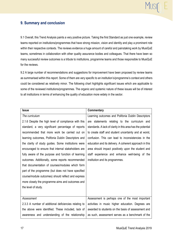# **9. Summary and conclusion**

9.1 Overall, this Trend Analysis paints a very positive picture. Taking the first Standard as just one example, review teams reported on institutions/programmes that have strong mission, vision and identity and play a prominent role within their respective contexts. The reviews evidence a huge amount of careful and painstaking work by MusiQuE teams, sometimes in collaboration with other quality assurance bodies and colleagues. That there have been so many successful review outcomes is a tribute to institutions, programme teams and those responsible to MusiQuE for the reviews.

9.2 A large number of recommendations and suggestions for improvement have been proposed by review teams as summarised within this report. Some of them are very specific to an institution's/programme's context and others could be considered as relatively minor. The following chart highlights significant issues which are applicable to some of the reviewed institutions/programmes. The organic and systemic nature of these issues will be of interest to all institutions in terms of enhancing the quality of education more widely in the sector.

| <b>Issue</b>                                          | <b>Commentary</b>                                           |
|-------------------------------------------------------|-------------------------------------------------------------|
| The curriculum                                        | Learning outcomes and Polifonia Dublin Descriptors          |
| 2.1.6 Despite the high level of compliance with this  | are statements relating to the curriculum and               |
| standard, a very significant percentage of reports    | standards. A lack of clarity in this area has the potential |
| recommended that more work be carried out on          | to create staff and student uncertainty and at worst,       |
| learning outcomes, Polifonia Dublin Descriptors and   | confusion. This can lead to inconsistencies in the          |
| the clarity of study guides. Some institutions were   | education and its delivery. A coherent approach in this     |
| encouraged to ensure that internal stakeholders are   | area should impact positively upon the student and          |
| fully aware of the purpose and function of learning   | staff experience and enhance well-being of the              |
| outcomes. Additionally, some reports recommended      | institution and its programmes.                             |
| that documentation of courses/modules which form      |                                                             |
| part of the programme (but does not have specified    |                                                             |
| course/module outcomes) should reflect and express    |                                                             |
| more closely the programme aims and outcomes and      |                                                             |
| the level of study.                                   |                                                             |
|                                                       |                                                             |
| Assessment                                            | Assessment is perhaps one of the most important             |
| 2.3.3 A number of additional deficiencies relating to | activities in music higher education. Degrees are           |
| the above were identified. These included, lack of    | awarded to students on the basis of assessment and          |
| awareness and understanding of the relationship       | as such, assessment serves as a benchmark of the            |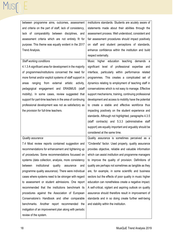| between programme aims, outcomes, assessment             | institutions standards. Students are acutely aware of     |
|----------------------------------------------------------|-----------------------------------------------------------|
| and criteria on the part of staff, lack of consistency,  | statements made about their abilities through the         |
| lack of comparability between disciplines, and           | assessment process. Well understood, consistent and       |
| assessment criteria which are not entirely fit for       | fair assessment procedures should impact positively       |
| purpose. This theme was equally evident in the 2017      | on staff and student perceptions of standards,            |
| Trend Analysis.                                          | enhance confidence within the institution and build       |
|                                                          | respect externally.                                       |
| Staff working conditions                                 | Music higher education teaching demands a                 |
| 4.1.3 A significant area for development in the majority | significant level of professional expertise and           |
| of programmes/institutions concerned the need for        | interface, particularly within performance related        |
| more formal and/or explicit systems of staff support in  | programmes. This creates a complicated set of             |
| ranging from external<br>artistic<br>activity,<br>areas  | dynamics relating to employment of teaching staff in      |
| pedagogical engagement and ERASMUS (staff                | conservatoires which is not easy to manage. Effective     |
| mobility). In some cases, review suggested that          | support mechanisms, training, continuing professional     |
| support for part-time teachers in the area of continuing | development and access to mobility have the potential     |
| professional development was not as satisfactory as      | to create a stable and effective workforce thus           |
| the provision for full-time teachers.                    | impacting positively on the student experience and        |
|                                                          | standards. Although not highlighted, paragraphs 4.3.5     |
|                                                          | (staff contracts) and 5.3.3 (administrative staff         |
|                                                          | support) are equally important and arguably should be     |
|                                                          | considered at the same time.                              |
| Quality assurance                                        | Quality assurance is sometimes perceived as a             |
| 7.4 Most review reports contained suggestion and         | "Cinderella" factor. Used properly, quality assurance     |
| recommendations for enhancement and tightening up        | provides objective, reliable and valuable information     |
| of procedures. Some recommendations focussed on          | which can assist institution and programme managers       |
| systems (data collection, analysis, more consistency     | to improve the quality of provision. Definitions of       |
| institutional<br>between<br>quality<br>assurance<br>and  | quality are perhaps not sometimes as tangible as they     |
| programme quality assurance). There were individual      | are, for example, in some scientific and business         |
| cases where systems need to be stronger with regard      | sectors but the effects of poor quality in music higher   |
| to assessment or student admissions. One report          | education can nonetheless create a negative impact.       |
| recommended that the institutions benchmark its          | A self-critical, vigilant and aspiring outlook on quality |
| procedures against the Association of European           | assurance should therefore result in improvement of       |
| Conservatoire's Handbook and other comparable            | standards and in so doing create further well-being       |
| benchmarks. Another report recommended the               | and stability within the institution.                     |
| instigation of an improvement plan along with periodic   |                                                           |
| review of the system.                                    |                                                           |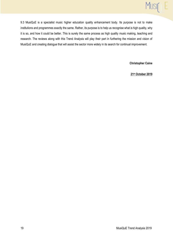

9.3 MusiQuE is a specialist music higher education quality enhancement body. Its purpose is not to make institutions and programmes exactly the same. Rather, its purpose is to help us recognise what is high quality, why it is so, and how it could be better. This is surely the same process as high quality music making, teaching and research. The reviews along with this Trend Analysis will play their part in furthering the mission and vision of MusiQuE and creating dialogue that will assist the sector more widely in its search for continual improvement.

**Christopher Caine**

**21st October 2019**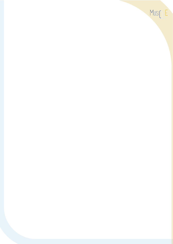$MUSIQUE$